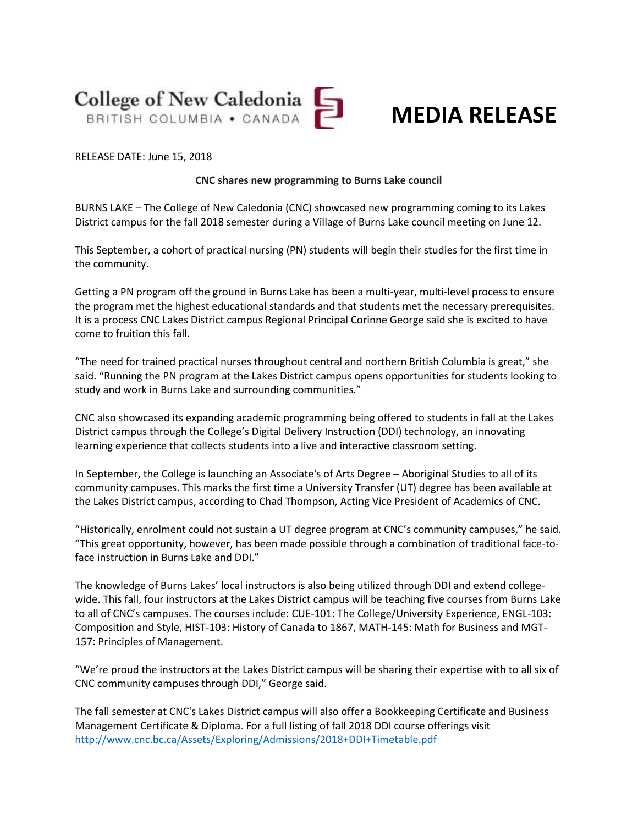

## **MEDIA RELEASE**

## RELEASE DATE: June 15, 2018

## **CNC shares new programming to Burns Lake council**

BURNS LAKE – The College of New Caledonia (CNC) showcased new programming coming to its Lakes District campus for the fall 2018 semester during a Village of Burns Lake council meeting on June 12.

This September, a cohort of practical nursing (PN) students will begin their studies for the first time in the community.

Getting a PN program off the ground in Burns Lake has been a multi-year, multi-level process to ensure the program met the highest educational standards and that students met the necessary prerequisites. It is a process CNC Lakes District campus Regional Principal Corinne George said she is excited to have come to fruition this fall.

"The need for trained practical nurses throughout central and northern British Columbia is great," she said. "Running the PN program at the Lakes District campus opens opportunities for students looking to study and work in Burns Lake and surrounding communities."

CNC also showcased its expanding academic programming being offered to students in fall at the Lakes District campus through the College's Digital Delivery Instruction (DDI) technology, an innovating learning experience that collects students into a live and interactive classroom setting.

In September, the College is launching an Associate's of Arts Degree – Aboriginal Studies to all of its community campuses. This marks the first time a University Transfer (UT) degree has been available at the Lakes District campus, according to Chad Thompson, Acting Vice President of Academics of CNC.

"Historically, enrolment could not sustain a UT degree program at CNC's community campuses," he said. "This great opportunity, however, has been made possible through a combination of traditional face-toface instruction in Burns Lake and DDI."

The knowledge of Burns Lakes' local instructors is also being utilized through DDI and extend collegewide. This fall, four instructors at the Lakes District campus will be teaching five courses from Burns Lake to all of CNC's campuses. The courses include: CUE-101: The College/University Experience, ENGL-103: Composition and Style, HIST-103: History of Canada to 1867, MATH-145: Math for Business and MGT-157: Principles of Management.

"We're proud the instructors at the Lakes District campus will be sharing their expertise with to all six of CNC community campuses through DDI," George said.

The fall semester at CNC's Lakes District campus will also offer a Bookkeeping Certificate and Business Management Certificate & Diploma. For a full listing of fall 2018 DDI course offerings visit <http://www.cnc.bc.ca/Assets/Exploring/Admissions/2018+DDI+Timetable.pdf>